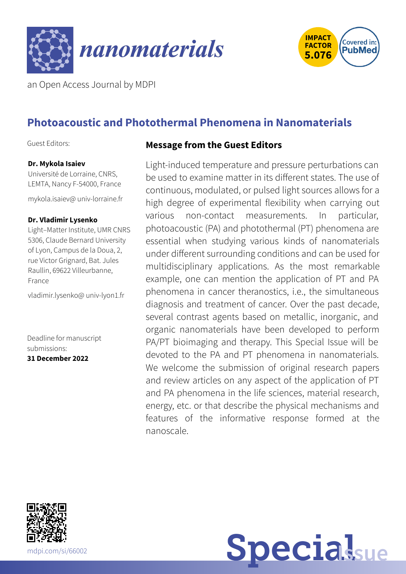



an Open Access Journal by MDPI

# **Photoacoustic and Photothermal Phenomena in Nanomaterials**

Guest Editors:

#### **Dr. Mykola Isaiev**

Université de Lorraine, CNRS, LEMTA, Nancy F-54000, France

[mykola.isaiev@](mailto:mykola.isaiev@univ-lorraine.fr) univ-lorraine.fr

#### **Dr. Vladimir Lysenko**

Light–Matter Institute, UMR CNRS 5306, Claude Bernard University of Lyon, Campus de la Doua, 2, rue Victor Grignard, Bat. Jules Raullin, 69622 Villeurbanne, France

[vladimir.lysenko@](mailto:vladimir.lysenko@univ-lyon1.fr) univ-lyon1.fr

Deadline for manuscript submissions:

**31 December 2022**

#### **Message from the Guest Editors**

Light-induced temperature and pressure perturbations can be used to examine matter in its different states. The use of continuous, modulated, or pulsed light sources allows for a high degree of experimental flexibility when carrying out various non-contact measurements. In particular, photoacoustic (PA) and photothermal (PT) phenomena are essential when studying various kinds of nanomaterials under different surrounding conditions and can be used for multidisciplinary applications. As the most remarkable example, one can mention the application of PT and PA phenomena in cancer theranostics, i.e., the simultaneous diagnosis and treatment of cancer. Over the past decade, several contrast agents based on metallic, inorganic, and organic nanomaterials have been developed to perform PA/PT bioimaging and therapy. This Special Issue will be devoted to the PA and PT phenomena in nanomaterials. We welcome the submission of original research papers and review articles on any aspect of the application of PT and PA phenomena in the life sciences, material research, energy, etc. or that describe the physical mechanisms and features of the informative response formed at the nanoscale.



**Special**sue